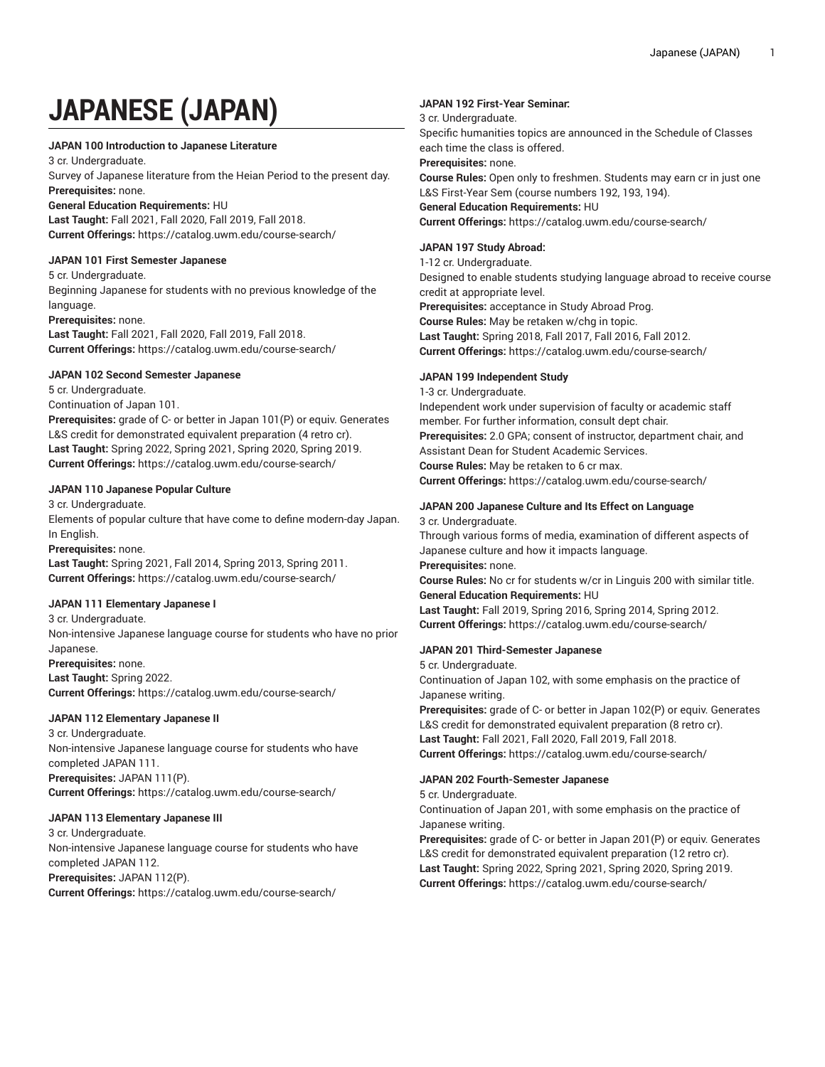# **JAPANESE (JAPAN)**

## **JAPAN 100 Introduction to Japanese Literature**

3 cr. Undergraduate.

Survey of Japanese literature from the Heian Period to the present day. **Prerequisites:** none.

#### **General Education Requirements:** HU

**Last Taught:** Fall 2021, Fall 2020, Fall 2019, Fall 2018. **Current Offerings:** <https://catalog.uwm.edu/course-search/>

# **JAPAN 101 First Semester Japanese**

5 cr. Undergraduate. Beginning Japanese for students with no previous knowledge of the language.

**Prerequisites:** none. **Last Taught:** Fall 2021, Fall 2020, Fall 2019, Fall 2018. **Current Offerings:** <https://catalog.uwm.edu/course-search/>

## **JAPAN 102 Second Semester Japanese**

5 cr. Undergraduate.

Continuation of Japan 101.

**Prerequisites:** grade of C- or better in Japan 101(P) or equiv. Generates L&S credit for demonstrated equivalent preparation (4 retro cr). **Last Taught:** Spring 2022, Spring 2021, Spring 2020, Spring 2019. **Current Offerings:** <https://catalog.uwm.edu/course-search/>

## **JAPAN 110 Japanese Popular Culture**

3 cr. Undergraduate.

Elements of popular culture that have come to define modern-day Japan. In English.

**Prerequisites:** none.

**Last Taught:** Spring 2021, Fall 2014, Spring 2013, Spring 2011. **Current Offerings:** <https://catalog.uwm.edu/course-search/>

## **JAPAN 111 Elementary Japanese I**

3 cr. Undergraduate.

Non-intensive Japanese language course for students who have no prior Japanese.

**Prerequisites:** none.

**Last Taught:** Spring 2022.

**Current Offerings:** <https://catalog.uwm.edu/course-search/>

## **JAPAN 112 Elementary Japanese II**

3 cr. Undergraduate. Non-intensive Japanese language course for students who have completed JAPAN 111. **Prerequisites:** JAPAN 111(P). **Current Offerings:** <https://catalog.uwm.edu/course-search/>

## **JAPAN 113 Elementary Japanese III**

3 cr. Undergraduate. Non-intensive Japanese language course for students who have completed JAPAN 112. **Prerequisites:** JAPAN 112(P). **Current Offerings:** <https://catalog.uwm.edu/course-search/>

## **JAPAN 192 First-Year Seminar:**

## 3 cr. Undergraduate.

Specific humanities topics are announced in the Schedule of Classes each time the class is offered.

## **Prerequisites:** none.

**Course Rules:** Open only to freshmen. Students may earn cr in just one L&S First-Year Sem (course numbers 192, 193, 194).

**General Education Requirements:** HU **Current Offerings:** <https://catalog.uwm.edu/course-search/>

# **JAPAN 197 Study Abroad:**

1-12 cr. Undergraduate. Designed to enable students studying language abroad to receive course

credit at appropriate level. **Prerequisites:** acceptance in Study Abroad Prog. **Course Rules:** May be retaken w/chg in topic. **Last Taught:** Spring 2018, Fall 2017, Fall 2016, Fall 2012.

**Current Offerings:** <https://catalog.uwm.edu/course-search/>

# **JAPAN 199 Independent Study**

1-3 cr. Undergraduate. Independent work under supervision of faculty or academic staff member. For further information, consult dept chair. **Prerequisites:** 2.0 GPA; consent of instructor, department chair, and Assistant Dean for Student Academic Services. **Course Rules:** May be retaken to 6 cr max. **Current Offerings:** <https://catalog.uwm.edu/course-search/>

## **JAPAN 200 Japanese Culture and Its Effect on Language**

3 cr. Undergraduate.

Through various forms of media, examination of different aspects of Japanese culture and how it impacts language.

**Prerequisites:** none.

**Course Rules:** No cr for students w/cr in Linguis 200 with similar title. **General Education Requirements:** HU

**Last Taught:** Fall 2019, Spring 2016, Spring 2014, Spring 2012. **Current Offerings:** <https://catalog.uwm.edu/course-search/>

# **JAPAN 201 Third-Semester Japanese**

5 cr. Undergraduate.

Continuation of Japan 102, with some emphasis on the practice of Japanese writing.

**Prerequisites:** grade of C- or better in Japan 102(P) or equiv. Generates L&S credit for demonstrated equivalent preparation (8 retro cr). **Last Taught:** Fall 2021, Fall 2020, Fall 2019, Fall 2018. **Current Offerings:** <https://catalog.uwm.edu/course-search/>

# **JAPAN 202 Fourth-Semester Japanese**

5 cr. Undergraduate.

Continuation of Japan 201, with some emphasis on the practice of Japanese writing.

**Prerequisites:** grade of C- or better in Japan 201(P) or equiv. Generates L&S credit for demonstrated equivalent preparation (12 retro cr). **Last Taught:** Spring 2022, Spring 2021, Spring 2020, Spring 2019. **Current Offerings:** <https://catalog.uwm.edu/course-search/>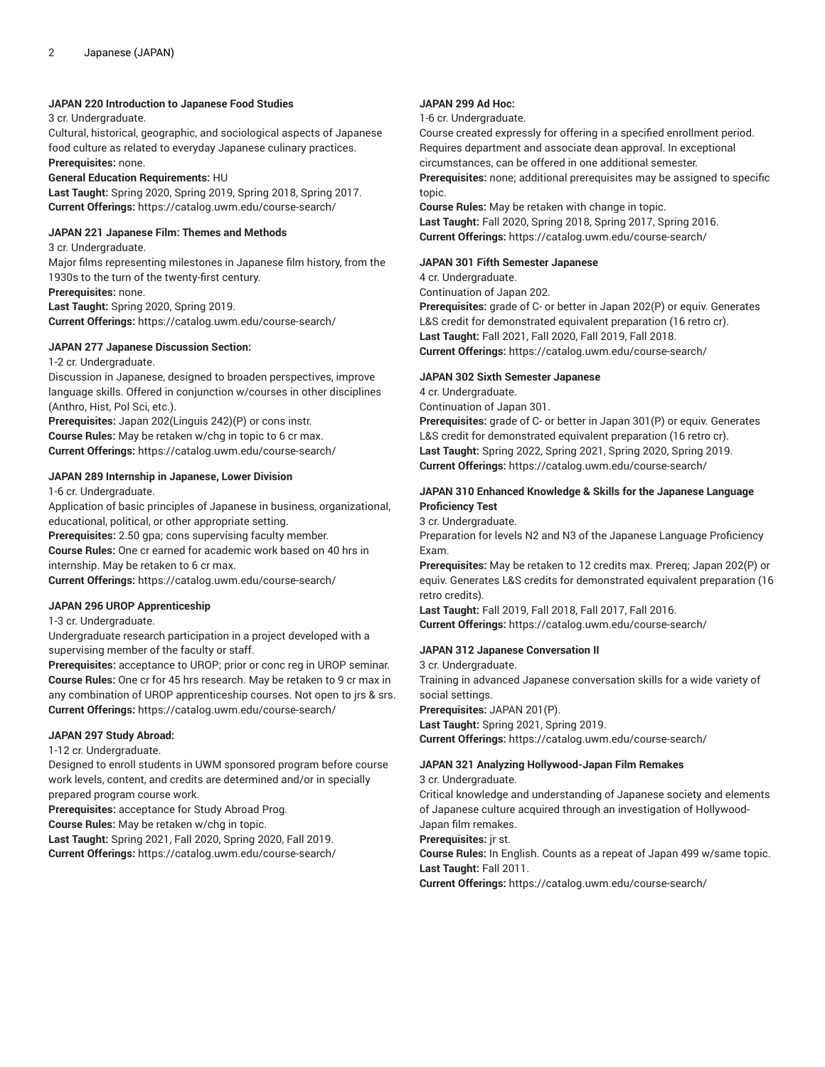### **JAPAN 220 Introduction to Japanese Food Studies**

3 cr. Undergraduate.

Cultural, historical, geographic, and sociological aspects of Japanese food culture as related to everyday Japanese culinary practices. **Prerequisites:** none.

#### **General Education Requirements:** HU

**Last Taught:** Spring 2020, Spring 2019, Spring 2018, Spring 2017. **Current Offerings:** <https://catalog.uwm.edu/course-search/>

#### **JAPAN 221 Japanese Film: Themes and Methods**

3 cr. Undergraduate.

Major films representing milestones in Japanese film history, from the 1930s to the turn of the twenty-first century.

**Prerequisites:** none.

**Last Taught:** Spring 2020, Spring 2019. **Current Offerings:** <https://catalog.uwm.edu/course-search/>

#### **JAPAN 277 Japanese Discussion Section:**

1-2 cr. Undergraduate.

Discussion in Japanese, designed to broaden perspectives, improve language skills. Offered in conjunction w/courses in other disciplines (Anthro, Hist, Pol Sci, etc.).

**Prerequisites:** Japan 202(Linguis 242)(P) or cons instr. **Course Rules:** May be retaken w/chg in topic to 6 cr max. **Current Offerings:** <https://catalog.uwm.edu/course-search/>

## **JAPAN 289 Internship in Japanese, Lower Division**

1-6 cr. Undergraduate.

Application of basic principles of Japanese in business, organizational, educational, political, or other appropriate setting.

**Prerequisites:** 2.50 gpa; cons supervising faculty member. **Course Rules:** One cr earned for academic work based on 40 hrs in internship. May be retaken to 6 cr max.

**Current Offerings:** <https://catalog.uwm.edu/course-search/>

## **JAPAN 296 UROP Apprenticeship**

1-3 cr. Undergraduate.

Undergraduate research participation in a project developed with a supervising member of the faculty or staff.

**Prerequisites:** acceptance to UROP; prior or conc reg in UROP seminar. **Course Rules:** One cr for 45 hrs research. May be retaken to 9 cr max in any combination of UROP apprenticeship courses. Not open to jrs & srs. **Current Offerings:** <https://catalog.uwm.edu/course-search/>

## **JAPAN 297 Study Abroad:**

1-12 cr. Undergraduate.

Designed to enroll students in UWM sponsored program before course work levels, content, and credits are determined and/or in specially prepared program course work.

**Prerequisites:** acceptance for Study Abroad Prog.

**Course Rules:** May be retaken w/chg in topic.

**Last Taught:** Spring 2021, Fall 2020, Spring 2020, Fall 2019. **Current Offerings:** <https://catalog.uwm.edu/course-search/>

## **JAPAN 299 Ad Hoc:**

1-6 cr. Undergraduate.

Course created expressly for offering in a specified enrollment period. Requires department and associate dean approval. In exceptional circumstances, can be offered in one additional semester.

**Prerequisites:** none; additional prerequisites may be assigned to specific topic.

**Course Rules:** May be retaken with change in topic. **Last Taught:** Fall 2020, Spring 2018, Spring 2017, Spring 2016. **Current Offerings:** <https://catalog.uwm.edu/course-search/>

## **JAPAN 301 Fifth Semester Japanese**

4 cr. Undergraduate.

Continuation of Japan 202.

**Prerequisites:** grade of C- or better in Japan 202(P) or equiv. Generates L&S credit for demonstrated equivalent preparation (16 retro cr). **Last Taught:** Fall 2021, Fall 2020, Fall 2019, Fall 2018. **Current Offerings:** <https://catalog.uwm.edu/course-search/>

## **JAPAN 302 Sixth Semester Japanese**

4 cr. Undergraduate.

Continuation of Japan 301.

**Prerequisites:** grade of C- or better in Japan 301(P) or equiv. Generates L&S credit for demonstrated equivalent preparation (16 retro cr). **Last Taught:** Spring 2022, Spring 2021, Spring 2020, Spring 2019. **Current Offerings:** <https://catalog.uwm.edu/course-search/>

## **JAPAN 310 Enhanced Knowledge & Skills for the Japanese Language Proficiency Test**

3 cr. Undergraduate.

Preparation for levels N2 and N3 of the Japanese Language Proficiency Exam.

**Prerequisites:** May be retaken to 12 credits max. Prereq; Japan 202(P) or equiv. Generates L&S credits for demonstrated equivalent preparation (16 retro credits).

**Last Taught:** Fall 2019, Fall 2018, Fall 2017, Fall 2016. **Current Offerings:** <https://catalog.uwm.edu/course-search/>

## **JAPAN 312 Japanese Conversation II**

3 cr. Undergraduate.

Training in advanced Japanese conversation skills for a wide variety of social settings.

**Prerequisites:** JAPAN 201(P). **Last Taught:** Spring 2021, Spring 2019.

**Current Offerings:** <https://catalog.uwm.edu/course-search/>

## **JAPAN 321 Analyzing Hollywood-Japan Film Remakes**

3 cr. Undergraduate.

Critical knowledge and understanding of Japanese society and elements of Japanese culture acquired through an investigation of Hollywood-

Japan film remakes. **Prerequisites:** jr st.

**Course Rules:** In English. Counts as a repeat of Japan 499 w/same topic. **Last Taught:** Fall 2011.

**Current Offerings:** <https://catalog.uwm.edu/course-search/>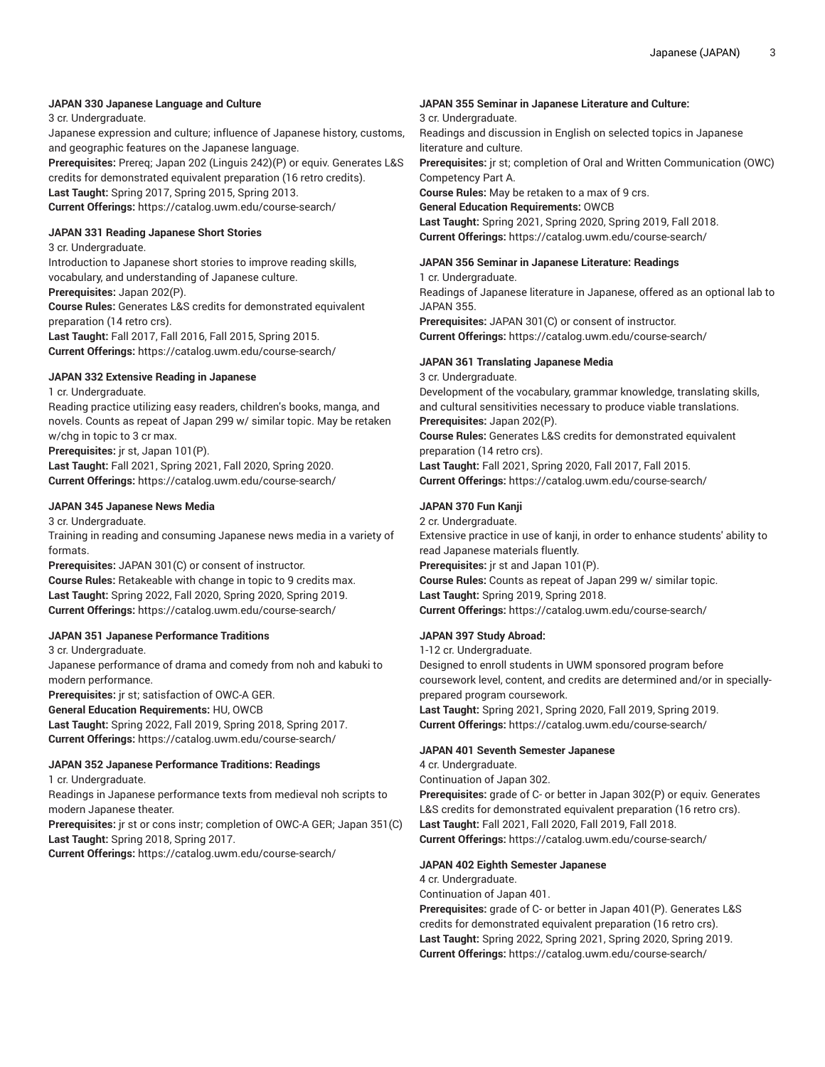## **JAPAN 330 Japanese Language and Culture**

3 cr. Undergraduate.

Japanese expression and culture; influence of Japanese history, customs, and geographic features on the Japanese language.

**Prerequisites:** Prereq; Japan 202 (Linguis 242)(P) or equiv. Generates L&S credits for demonstrated equivalent preparation (16 retro credits). **Last Taught:** Spring 2017, Spring 2015, Spring 2013.

**Current Offerings:** <https://catalog.uwm.edu/course-search/>

#### **JAPAN 331 Reading Japanese Short Stories**

3 cr. Undergraduate.

Introduction to Japanese short stories to improve reading skills, vocabulary, and understanding of Japanese culture.

**Prerequisites:** Japan 202(P).

**Course Rules:** Generates L&S credits for demonstrated equivalent preparation (14 retro crs).

**Last Taught:** Fall 2017, Fall 2016, Fall 2015, Spring 2015. **Current Offerings:** <https://catalog.uwm.edu/course-search/>

## **JAPAN 332 Extensive Reading in Japanese**

1 cr. Undergraduate.

Reading practice utilizing easy readers, children's books, manga, and novels. Counts as repeat of Japan 299 w/ similar topic. May be retaken w/chg in topic to 3 cr max.

**Prerequisites:** jr st, Japan 101(P).

**Last Taught:** Fall 2021, Spring 2021, Fall 2020, Spring 2020. **Current Offerings:** <https://catalog.uwm.edu/course-search/>

## **JAPAN 345 Japanese News Media**

3 cr. Undergraduate.

Training in reading and consuming Japanese news media in a variety of formats.

**Prerequisites:** JAPAN 301(C) or consent of instructor. **Course Rules:** Retakeable with change in topic to 9 credits max. **Last Taught:** Spring 2022, Fall 2020, Spring 2020, Spring 2019. **Current Offerings:** <https://catalog.uwm.edu/course-search/>

## **JAPAN 351 Japanese Performance Traditions**

3 cr. Undergraduate.

Japanese performance of drama and comedy from noh and kabuki to modern performance.

**Prerequisites:** jr st; satisfaction of OWC-A GER. **General Education Requirements:** HU, OWCB

**Last Taught:** Spring 2022, Fall 2019, Spring 2018, Spring 2017. **Current Offerings:** <https://catalog.uwm.edu/course-search/>

## **JAPAN 352 Japanese Performance Traditions: Readings**

1 cr. Undergraduate.

Readings in Japanese performance texts from medieval noh scripts to modern Japanese theater.

**Prerequisites:** jr st or cons instr; completion of OWC-A GER; Japan 351(C) **Last Taught:** Spring 2018, Spring 2017.

**Current Offerings:** <https://catalog.uwm.edu/course-search/>

## **JAPAN 355 Seminar in Japanese Literature and Culture:**

3 cr. Undergraduate.

Readings and discussion in English on selected topics in Japanese literature and culture.

**Prerequisites:** jr st; completion of Oral and Written Communication (OWC) Competency Part A.

**Course Rules:** May be retaken to a max of 9 crs.

**General Education Requirements:** OWCB

**Last Taught:** Spring 2021, Spring 2020, Spring 2019, Fall 2018. **Current Offerings:** <https://catalog.uwm.edu/course-search/>

## **JAPAN 356 Seminar in Japanese Literature: Readings**

1 cr. Undergraduate.

Readings of Japanese literature in Japanese, offered as an optional lab to JAPAN 355.

**Prerequisites:** JAPAN 301(C) or consent of instructor. **Current Offerings:** <https://catalog.uwm.edu/course-search/>

## **JAPAN 361 Translating Japanese Media**

3 cr. Undergraduate.

Development of the vocabulary, grammar knowledge, translating skills, and cultural sensitivities necessary to produce viable translations. **Prerequisites:** Japan 202(P).

**Course Rules:** Generates L&S credits for demonstrated equivalent preparation (14 retro crs).

**Last Taught:** Fall 2021, Spring 2020, Fall 2017, Fall 2015. **Current Offerings:** <https://catalog.uwm.edu/course-search/>

## **JAPAN 370 Fun Kanji**

2 cr. Undergraduate. Extensive practice in use of kanji, in order to enhance students' ability to read Japanese materials fluently. **Prerequisites:** jr st and Japan 101(P). **Course Rules:** Counts as repeat of Japan 299 w/ similar topic. **Last Taught:** Spring 2019, Spring 2018. **Current Offerings:** <https://catalog.uwm.edu/course-search/>

## **JAPAN 397 Study Abroad:**

1-12 cr. Undergraduate. Designed to enroll students in UWM sponsored program before coursework level, content, and credits are determined and/or in speciallyprepared program coursework. **Last Taught:** Spring 2021, Spring 2020, Fall 2019, Spring 2019. **Current Offerings:** <https://catalog.uwm.edu/course-search/>

## **JAPAN 401 Seventh Semester Japanese**

4 cr. Undergraduate. Continuation of Japan 302. **Prerequisites:** grade of C- or better in Japan 302(P) or equiv. Generates L&S credits for demonstrated equivalent preparation (16 retro crs). **Last Taught:** Fall 2021, Fall 2020, Fall 2019, Fall 2018. **Current Offerings:** <https://catalog.uwm.edu/course-search/>

## **JAPAN 402 Eighth Semester Japanese**

4 cr. Undergraduate.

Continuation of Japan 401.

**Prerequisites:** grade of C- or better in Japan 401(P). Generates L&S credits for demonstrated equivalent preparation (16 retro crs). **Last Taught:** Spring 2022, Spring 2021, Spring 2020, Spring 2019. **Current Offerings:** <https://catalog.uwm.edu/course-search/>